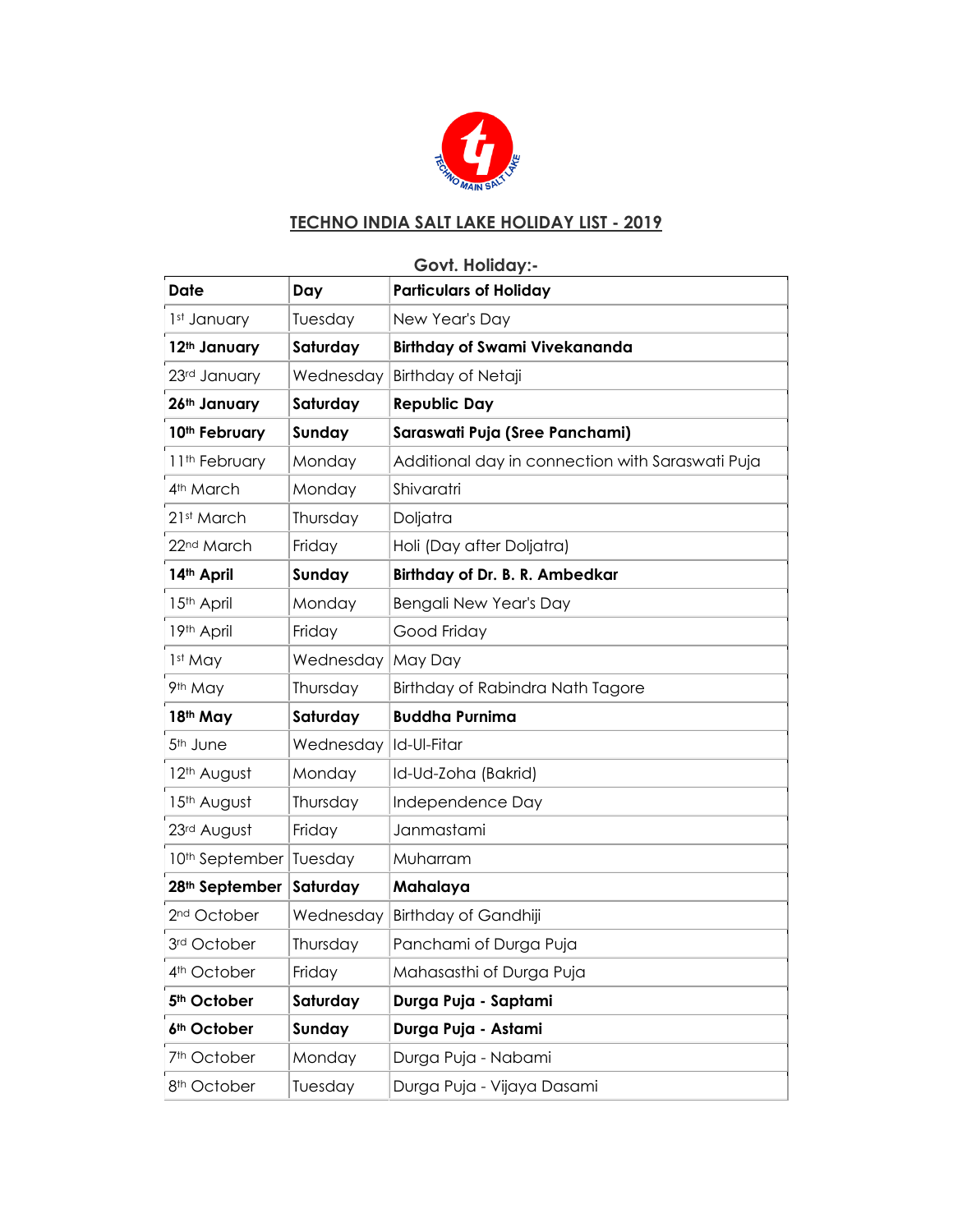

#### **TECHNO INDIA SALT LAKE HOLIDAY LIST - 2019**

# **Govt. Holiday:- Date Day Particulars of Holiday** 1st January | Tuesday | New Year's Day **12th January Saturday Birthday of Swami Vivekananda** 23<sup>rd</sup> January | Wednesday | Birthday of Netaji **26th January Saturday Republic Day 10th February Sunday Saraswati Puja (Sree Panchami)** 11<sup>th</sup> February | Monday | Additional day in connection with Saraswati Puja 4<sup>th</sup> March Monday Shivaratri 21st March | Thursday | Doljatra 22<sup>nd</sup> March | Friday | Holi (Day after Doljatra) **14th April Sunday Birthday of Dr. B. R. Ambedkar** 15<sup>th</sup> April Monday Bengali New Year's Day 19th April Friday Good Friday 1st May **Wednesday May Day** 9<sup>th</sup> May Thursday Birthday of Rabindra Nath Tagore **18th May Saturday Buddha Purnima** 5<sup>th</sup> June | Wednesday | Id-Ul-Fitar 12<sup>th</sup> August | Monday | Id-Ud-Zoha (Bakrid) 15<sup>th</sup> August | Thursday | Independence Day 23<sup>rd</sup> August | Friday | Janmastami 10<sup>th</sup> September Tuesday Muharram **28th September Saturday Mahalaya** 2<sup>nd</sup> October | Wednesday | Birthday of Gandhiji 3<sup>rd</sup> October | Thursday | Panchami of Durga Puja 4<sup>th</sup> October | Friday | Mahasasthi of Durga Puja **5th October Saturday Durga Puja - Saptami 6th October Sunday Durga Puja - Astami** 7<sup>th</sup> October | Monday | Durga Puja - Nabami 8<sup>th</sup> October | Tuesday | Durga Puja - Vijaya Dasami